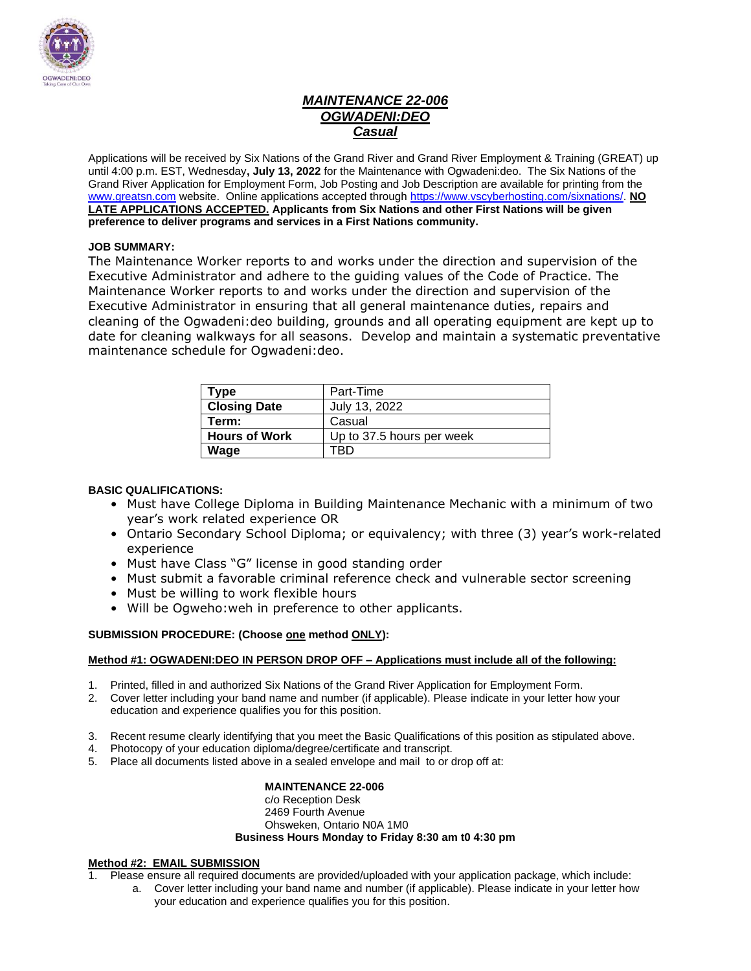

### *MAINTENANCE 22-006 OGWADENI:DEO Casual*

Applications will be received by Six Nations of the Grand River and Grand River Employment & Training (GREAT) up until 4:00 p.m. EST, Wednesday**, July 13, 2022** for the Maintenance with Ogwadeni:deo. The Six Nations of the Grand River Application for Employment Form, Job Posting and Job Description are available for printing from the [www.greatsn.com](http://www.greatsn.com/) website. Online applications accepted throug[h https://www.vscyberhosting.com/sixnations/.](https://www.vscyberhosting.com/sixnations/) **NO LATE APPLICATIONS ACCEPTED. Applicants from Six Nations and other First Nations will be given preference to deliver programs and services in a First Nations community.**

### **JOB SUMMARY:**

The Maintenance Worker reports to and works under the direction and supervision of the Executive Administrator and adhere to the guiding values of the Code of Practice. The Maintenance Worker reports to and works under the direction and supervision of the Executive Administrator in ensuring that all general maintenance duties, repairs and cleaning of the Ogwadeni:deo building, grounds and all operating equipment are kept up to date for cleaning walkways for all seasons. Develop and maintain a systematic preventative maintenance schedule for Ogwadeni:deo.

| Type                 | Part-Time                 |
|----------------------|---------------------------|
| <b>Closing Date</b>  | July 13, 2022             |
| Term:                | Casual                    |
| <b>Hours of Work</b> | Up to 37.5 hours per week |
| Wage                 | RГ                        |

### **BASIC QUALIFICATIONS:**

- Must have College Diploma in Building Maintenance Mechanic with a minimum of two year's work related experience OR
- Ontario Secondary School Diploma; or equivalency; with three (3) year's work-related experience
- Must have Class "G" license in good standing order
- Must submit a favorable criminal reference check and vulnerable sector screening
- Must be willing to work flexible hours
- Will be Ogweho:weh in preference to other applicants.

### **SUBMISSION PROCEDURE: (Choose one method ONLY):**

### **Method #1: OGWADENI:DEO IN PERSON DROP OFF – Applications must include all of the following:**

- 1. Printed, filled in and authorized Six Nations of the Grand River Application for Employment Form.
- 2. Cover letter including your band name and number (if applicable). Please indicate in your letter how your education and experience qualifies you for this position.
- 3. Recent resume clearly identifying that you meet the Basic Qualifications of this position as stipulated above.
- 4. Photocopy of your education diploma/degree/certificate and transcript.
- 5. Place all documents listed above in a sealed envelope and mail to or drop off at:

### **MAINTENANCE 22-006**

#### c/o Reception Desk 2469 Fourth Avenue Ohsweken, Ontario N0A 1M0 **Business Hours Monday to Friday 8:30 am t0 4:30 pm**

### **Method #2: EMAIL SUBMISSION**

- 1. Please ensure all required documents are provided/uploaded with your application package, which include:
	- a. Cover letter including your band name and number (if applicable). Please indicate in your letter how your education and experience qualifies you for this position.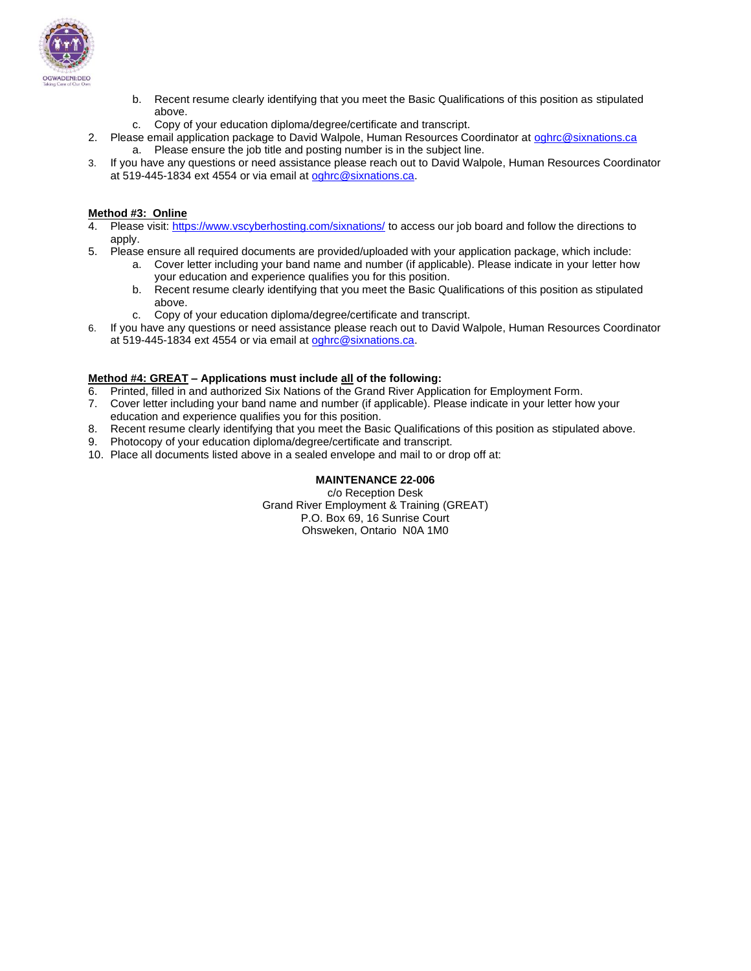

- b. Recent resume clearly identifying that you meet the Basic Qualifications of this position as stipulated above.
- c. Copy of your education diploma/degree/certificate and transcript.
- 2. Please email application package to David Walpole, Human Resources Coordinator at [oghrc@sixnations.ca](mailto:oghrc@sixnations.ca) a. Please ensure the job title and posting number is in the subject line.
- 3. If you have any questions or need assistance please reach out to David Walpole, Human Resources Coordinator at 519-445-1834 ext 4554 or via email at [oghrc@sixnations.ca.](mailto:oghrc@sixnations.ca)

#### **Method #3: Online**

- 4. Please visit[: https://www.vscyberhosting.com/sixnations/](https://www.vscyberhosting.com/sixnations/) to access our job board and follow the directions to apply.
- 5. Please ensure all required documents are provided/uploaded with your application package, which include:
	- a. Cover letter including your band name and number (if applicable). Please indicate in your letter how your education and experience qualifies you for this position.
	- b. Recent resume clearly identifying that you meet the Basic Qualifications of this position as stipulated above.
	- c. Copy of your education diploma/degree/certificate and transcript.
- 6. If you have any questions or need assistance please reach out to David Walpole, Human Resources Coordinator at 519-445-1834 ext 4554 or via email at [oghrc@sixnations.ca.](mailto:oghrc@sixnations.ca)

#### **Method #4: GREAT – Applications must include all of the following:**

- 6. Printed, filled in and authorized Six Nations of the Grand River Application for Employment Form.
- 7. Cover letter including your band name and number (if applicable). Please indicate in your letter how your education and experience qualifies you for this position.
- 8. Recent resume clearly identifying that you meet the Basic Qualifications of this position as stipulated above.
- 9. Photocopy of your education diploma/degree/certificate and transcript.
- 10. Place all documents listed above in a sealed envelope and mail to or drop off at:

#### **MAINTENANCE 22-006**

c/o Reception Desk Grand River Employment & Training (GREAT) P.O. Box 69, 16 Sunrise Court Ohsweken, Ontario N0A 1M0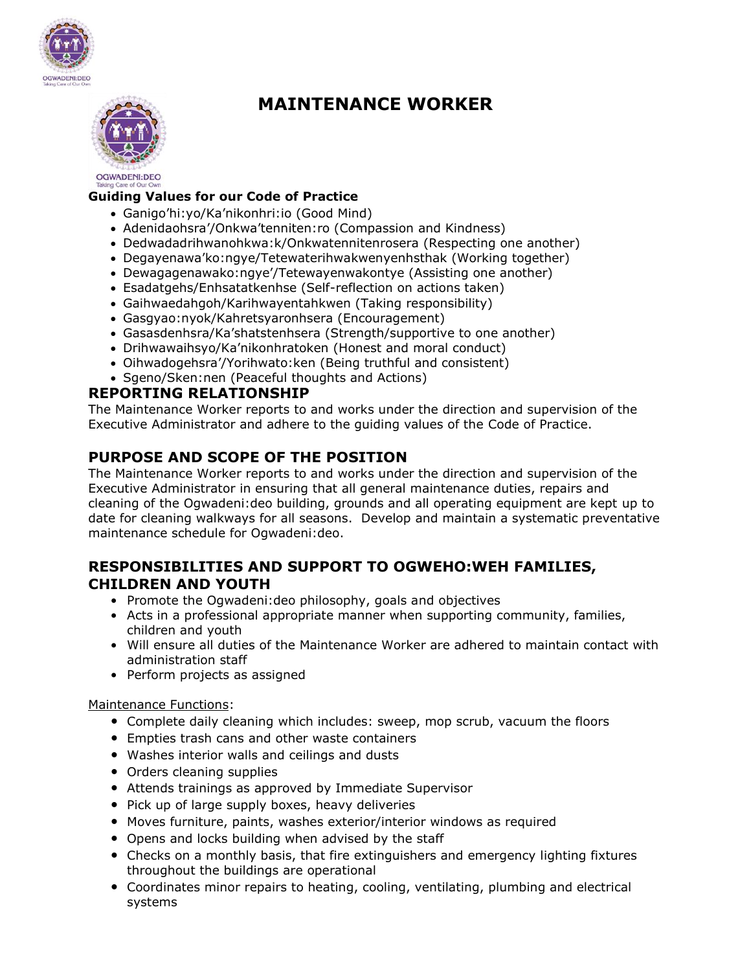



# **MAINTENANCE WORKER**

### **Guiding Values for our Code of Practice**

- Ganigo'hi:yo/Ka'nikonhri:io (Good Mind)
- Adenidaohsra'/Onkwa'tenniten:ro (Compassion and Kindness)
- Dedwadadrihwanohkwa:k/Onkwatennitenrosera (Respecting one another)
- Degayenawa'ko:ngye/Tetewaterihwakwenyenhsthak (Working together)
- Dewagagenawako:ngye'/Tetewayenwakontye (Assisting one another)
- Esadatgehs/Enhsatatkenhse (Self-reflection on actions taken)
- Gaihwaedahgoh/Karihwayentahkwen (Taking responsibility)
- Gasgyao:nyok/Kahretsyaronhsera (Encouragement)
- Gasasdenhsra/Ka'shatstenhsera (Strength/supportive to one another)
- Drihwawaihsyo/Ka'nikonhratoken (Honest and moral conduct)
- Oihwadogehsra'/Yorihwato:ken (Being truthful and consistent)
- Sgeno/Sken:nen (Peaceful thoughts and Actions)

## **REPORTING RELATIONSHIP**

The Maintenance Worker reports to and works under the direction and supervision of the Executive Administrator and adhere to the guiding values of the Code of Practice.

## **PURPOSE AND SCOPE OF THE POSITION**

The Maintenance Worker reports to and works under the direction and supervision of the Executive Administrator in ensuring that all general maintenance duties, repairs and cleaning of the Ogwadeni:deo building, grounds and all operating equipment are kept up to date for cleaning walkways for all seasons. Develop and maintain a systematic preventative maintenance schedule for Ogwadeni:deo.

## **RESPONSIBILITIES AND SUPPORT TO OGWEHO:WEH FAMILIES, CHILDREN AND YOUTH**

- Promote the Ogwadeni:deo philosophy, goals and objectives
- Acts in a professional appropriate manner when supporting community, families, children and youth
- Will ensure all duties of the Maintenance Worker are adhered to maintain contact with administration staff
- Perform projects as assigned

### Maintenance Functions:

- Complete daily cleaning which includes: sweep, mop scrub, vacuum the floors
- Empties trash cans and other waste containers
- Washes interior walls and ceilings and dusts
- Orders cleaning supplies
- Attends trainings as approved by Immediate Supervisor
- Pick up of large supply boxes, heavy deliveries
- Moves furniture, paints, washes exterior/interior windows as required
- Opens and locks building when advised by the staff
- Checks on a monthly basis, that fire extinguishers and emergency lighting fixtures throughout the buildings are operational
- Coordinates minor repairs to heating, cooling, ventilating, plumbing and electrical systems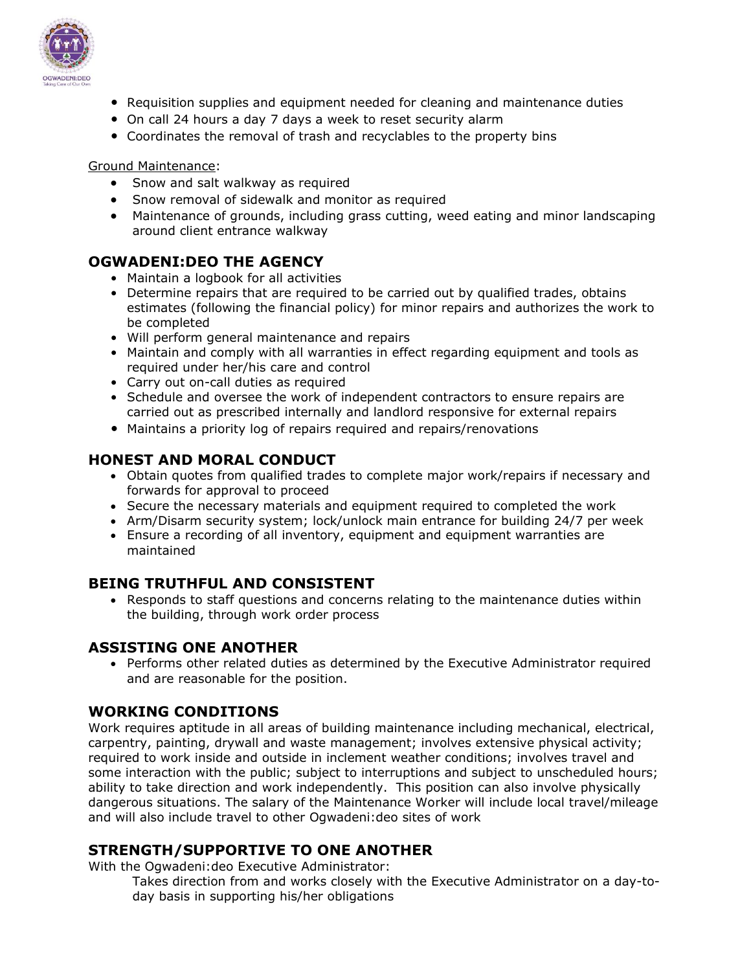

- Requisition supplies and equipment needed for cleaning and maintenance duties
- On call 24 hours a day 7 days a week to reset security alarm
- Coordinates the removal of trash and recyclables to the property bins

### Ground Maintenance:

- Snow and salt walkway as required
- Snow removal of sidewalk and monitor as required
- Maintenance of grounds, including grass cutting, weed eating and minor landscaping around client entrance walkway

## **OGWADENI:DEO THE AGENCY**

- Maintain a logbook for all activities
- Determine repairs that are required to be carried out by qualified trades, obtains estimates (following the financial policy) for minor repairs and authorizes the work to be completed
- Will perform general maintenance and repairs
- Maintain and comply with all warranties in effect regarding equipment and tools as required under her/his care and control
- Carry out on-call duties as required
- Schedule and oversee the work of independent contractors to ensure repairs are carried out as prescribed internally and landlord responsive for external repairs
- Maintains a priority log of repairs required and repairs/renovations

## **HONEST AND MORAL CONDUCT**

- Obtain quotes from qualified trades to complete major work/repairs if necessary and forwards for approval to proceed
- Secure the necessary materials and equipment required to completed the work
- Arm/Disarm security system; lock/unlock main entrance for building 24/7 per week
- Ensure a recording of all inventory, equipment and equipment warranties are maintained

## **BEING TRUTHFUL AND CONSISTENT**

• Responds to staff questions and concerns relating to the maintenance duties within the building, through work order process

## **ASSISTING ONE ANOTHER**

• Performs other related duties as determined by the Executive Administrator required and are reasonable for the position.

## **WORKING CONDITIONS**

Work requires aptitude in all areas of building maintenance including mechanical, electrical, carpentry, painting, drywall and waste management; involves extensive physical activity; required to work inside and outside in inclement weather conditions; involves travel and some interaction with the public; subject to interruptions and subject to unscheduled hours; ability to take direction and work independently. This position can also involve physically dangerous situations. The salary of the Maintenance Worker will include local travel/mileage and will also include travel to other Ogwadeni:deo sites of work

## **STRENGTH/SUPPORTIVE TO ONE ANOTHER**

With the Ogwadeni:deo Executive Administrator:

Takes direction from and works closely with the Executive Administrator on a day-today basis in supporting his/her obligations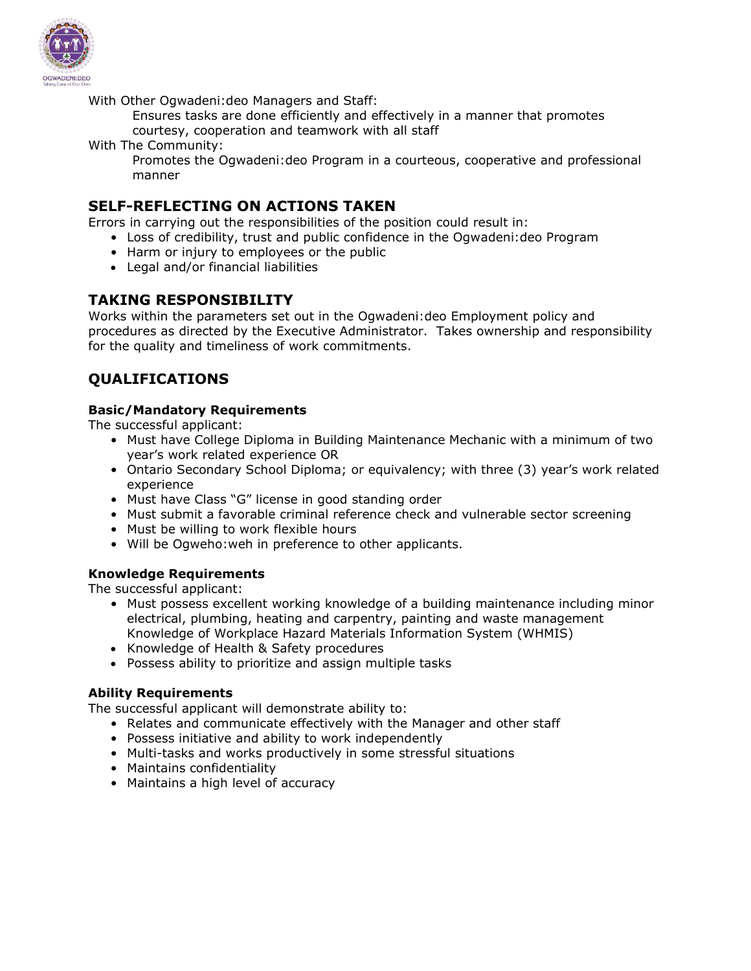

With Other Ogwadeni:deo Managers and Staff:

- Ensures tasks are done efficiently and effectively in a manner that promotes courtesy, cooperation and teamwork with all staff
- With The Community:
	- Promotes the Ogwadeni:deo Program in a courteous, cooperative and professional manner

### **SELF-REFLECTING ON ACTIONS TAKEN**

Errors in carrying out the responsibilities of the position could result in:

- Loss of credibility, trust and public confidence in the Ogwadeni:deo Program
- Harm or injury to employees or the public
- Legal and/or financial liabilities

## **TAKING RESPONSIBILITY**

Works within the parameters set out in the Ogwadeni:deo Employment policy and procedures as directed by the Executive Administrator. Takes ownership and responsibility for the quality and timeliness of work commitments.

## **QUALIFICATIONS**

### **Basic/Mandatory Requirements**

The successful applicant:

- Must have College Diploma in Building Maintenance Mechanic with a minimum of two year's work related experience OR
- Ontario Secondary School Diploma; or equivalency; with three (3) year's work related experience
- Must have Class "G" license in good standing order
- Must submit a favorable criminal reference check and vulnerable sector screening
- Must be willing to work flexible hours
- Will be Ogweho:weh in preference to other applicants.

### **Knowledge Requirements**

The successful applicant:

- Must possess excellent working knowledge of a building maintenance including minor electrical, plumbing, heating and carpentry, painting and waste management Knowledge of Workplace Hazard Materials Information System (WHMIS)
- Knowledge of Health & Safety procedures
- Possess ability to prioritize and assign multiple tasks

### **Ability Requirements**

The successful applicant will demonstrate ability to:

- Relates and communicate effectively with the Manager and other staff
- Possess initiative and ability to work independently
- Multi-tasks and works productively in some stressful situations
- Maintains confidentiality
- Maintains a high level of accuracy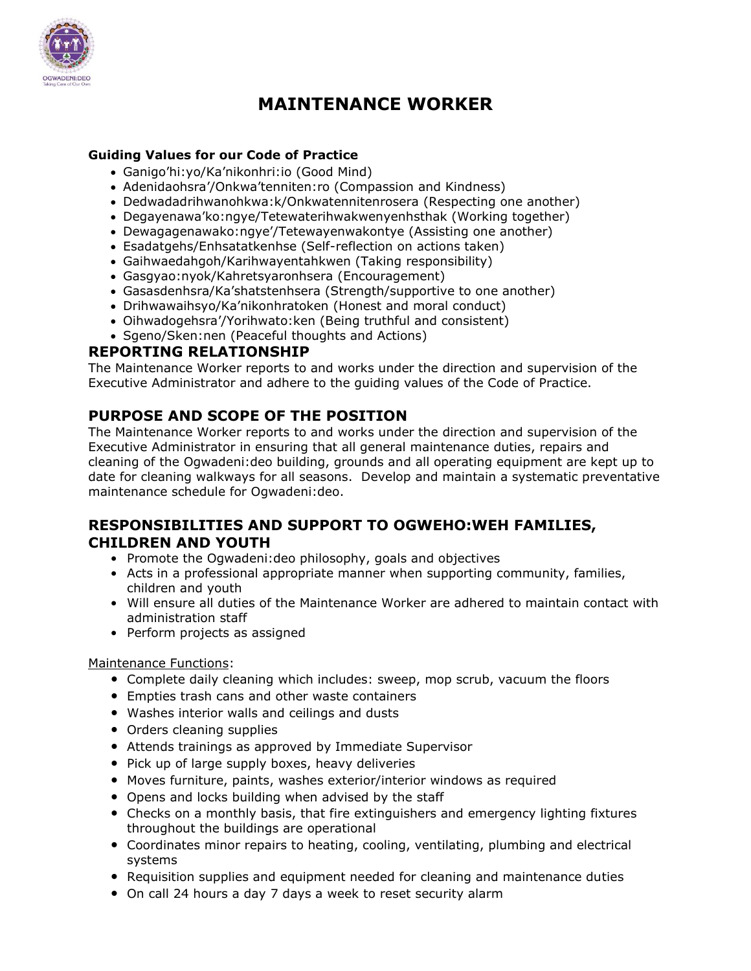

# **MAINTENANCE WORKER**

### **Guiding Values for our Code of Practice**

- Ganigo'hi:yo/Ka'nikonhri:io (Good Mind)
- Adenidaohsra'/Onkwa'tenniten:ro (Compassion and Kindness)
- Dedwadadrihwanohkwa:k/Onkwatennitenrosera (Respecting one another)
- Degayenawa'ko:ngye/Tetewaterihwakwenyenhsthak (Working together)
- Dewagagenawako:ngye'/Tetewayenwakontye (Assisting one another)
- Esadatgehs/Enhsatatkenhse (Self-reflection on actions taken)
- Gaihwaedahgoh/Karihwayentahkwen (Taking responsibility)
- Gasgyao:nyok/Kahretsyaronhsera (Encouragement)
- Gasasdenhsra/Ka'shatstenhsera (Strength/supportive to one another)
- Drihwawaihsyo/Ka'nikonhratoken (Honest and moral conduct)
- Oihwadogehsra'/Yorihwato:ken (Being truthful and consistent)
- Sgeno/Sken:nen (Peaceful thoughts and Actions)

## **REPORTING RELATIONSHIP**

The Maintenance Worker reports to and works under the direction and supervision of the Executive Administrator and adhere to the guiding values of the Code of Practice.

## **PURPOSE AND SCOPE OF THE POSITION**

The Maintenance Worker reports to and works under the direction and supervision of the Executive Administrator in ensuring that all general maintenance duties, repairs and cleaning of the Ogwadeni:deo building, grounds and all operating equipment are kept up to date for cleaning walkways for all seasons. Develop and maintain a systematic preventative maintenance schedule for Ogwadeni:deo.

## **RESPONSIBILITIES AND SUPPORT TO OGWEHO:WEH FAMILIES, CHILDREN AND YOUTH**

- Promote the Ogwadeni:deo philosophy, goals and objectives
- Acts in a professional appropriate manner when supporting community, families, children and youth
- Will ensure all duties of the Maintenance Worker are adhered to maintain contact with administration staff
- Perform projects as assigned

### Maintenance Functions:

- Complete daily cleaning which includes: sweep, mop scrub, vacuum the floors
- Empties trash cans and other waste containers
- Washes interior walls and ceilings and dusts
- Orders cleaning supplies
- Attends trainings as approved by Immediate Supervisor
- Pick up of large supply boxes, heavy deliveries
- Moves furniture, paints, washes exterior/interior windows as required
- Opens and locks building when advised by the staff
- Checks on a monthly basis, that fire extinguishers and emergency lighting fixtures throughout the buildings are operational
- Coordinates minor repairs to heating, cooling, ventilating, plumbing and electrical systems
- Requisition supplies and equipment needed for cleaning and maintenance duties
- On call 24 hours a day 7 days a week to reset security alarm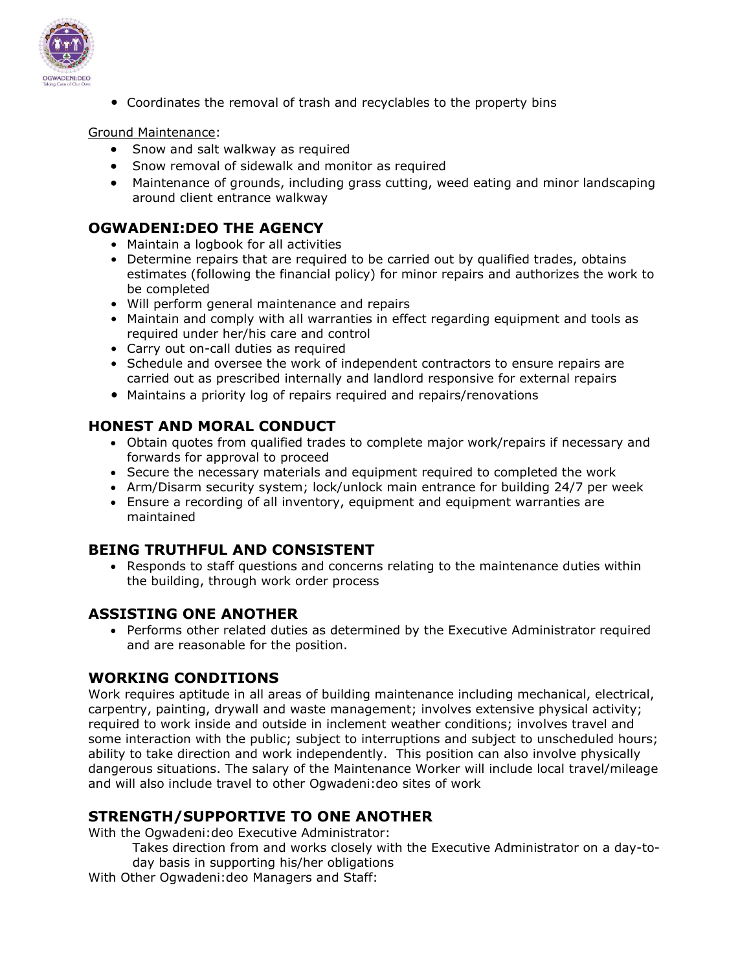

• Coordinates the removal of trash and recyclables to the property bins

### Ground Maintenance:

- Snow and salt walkway as required
- Snow removal of sidewalk and monitor as required
- Maintenance of grounds, including grass cutting, weed eating and minor landscaping around client entrance walkway

## **OGWADENI:DEO THE AGENCY**

- Maintain a logbook for all activities
- Determine repairs that are required to be carried out by qualified trades, obtains estimates (following the financial policy) for minor repairs and authorizes the work to be completed
- Will perform general maintenance and repairs
- Maintain and comply with all warranties in effect regarding equipment and tools as required under her/his care and control
- Carry out on-call duties as required
- Schedule and oversee the work of independent contractors to ensure repairs are carried out as prescribed internally and landlord responsive for external repairs
- Maintains a priority log of repairs required and repairs/renovations

## **HONEST AND MORAL CONDUCT**

- Obtain quotes from qualified trades to complete major work/repairs if necessary and forwards for approval to proceed
- Secure the necessary materials and equipment required to completed the work
- Arm/Disarm security system; lock/unlock main entrance for building 24/7 per week
- Ensure a recording of all inventory, equipment and equipment warranties are maintained

## **BEING TRUTHFUL AND CONSISTENT**

• Responds to staff questions and concerns relating to the maintenance duties within the building, through work order process

## **ASSISTING ONE ANOTHER**

• Performs other related duties as determined by the Executive Administrator required and are reasonable for the position.

## **WORKING CONDITIONS**

Work requires aptitude in all areas of building maintenance including mechanical, electrical, carpentry, painting, drywall and waste management; involves extensive physical activity; required to work inside and outside in inclement weather conditions; involves travel and some interaction with the public; subject to interruptions and subject to unscheduled hours; ability to take direction and work independently. This position can also involve physically dangerous situations. The salary of the Maintenance Worker will include local travel/mileage and will also include travel to other Ogwadeni:deo sites of work

## **STRENGTH/SUPPORTIVE TO ONE ANOTHER**

With the Ogwadeni:deo Executive Administrator:

- Takes direction from and works closely with the Executive Administrator on a day-today basis in supporting his/her obligations
- With Other Ogwadeni:deo Managers and Staff: